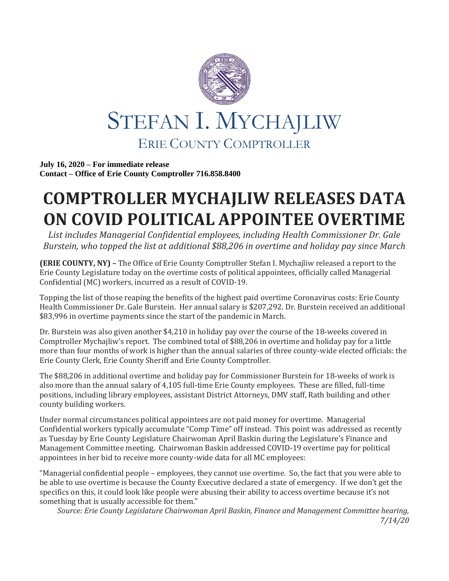

**July 16, 2020 – For immediate release Contact – Office of Erie County Comptroller 716.858.8400**

## **COMPTROLLER MYCHAJLIW RELEASES DATA ON COVID POLITICAL APPOINTEE OVERTIME**

*List includes Managerial Confidential employees, including Health Commissioner Dr. Gale Burstein, who topped the list at additional \$88,206 in overtime and holiday pay since March*

**(ERIE COUNTY, NY) –** The Office of Erie County Comptroller Stefan I. Mychajliw released a report to the Erie County Legislature today on the overtime costs of political appointees, officially called Managerial Confidential (MC) workers, incurred as a result of COVID-19.

Topping the list of those reaping the benefits of the highest paid overtime Coronavirus costs: Erie County Health Commissioner Dr. Gale Burstein. Her annual salary is \$207,292. Dr. Burstein received an additional \$83,996 in overtime payments since the start of the pandemic in March.

Dr. Burstein was also given another \$4,210 in holiday pay over the course of the 18-weeks covered in Comptroller Mychajliw's report. The combined total of \$88,206 in overtime and holiday pay for a little more than four months of work is higher than the annual salaries of three county-wide elected officials: the Erie County Clerk, Erie County Sheriff and Erie County Comptroller.

The \$88,206 in additional overtime and holiday pay for Commissioner Burstein for 18-weeks of work is also more than the annual salary of 4,105 full-time Erie County employees. These are filled, full-time positions, including library employees, assistant District Attorneys, DMV staff, Rath building and other county building workers.

Under normal circumstances political appointees are not paid money for overtime. Managerial Confidential workers typically accumulate "Comp Time" off instead. This point was addressed as recently as Tuesday by Erie County Legislature Chairwoman April Baskin during the Legislature's Finance and Management Committee meeting. Chairwoman Baskin addressed COVID-19 overtime pay for political appointees in her bid to receive more county-wide data for all MC employees:

"Managerial confidential people – employees, they cannot use overtime. So, the fact that you were able to be able to use overtime is because the County Executive declared a state of emergency. If we don't get the specifics on this, it could look like people were abusing their ability to access overtime because it's not something that is usually accessible for them."

*Source: Erie County Legislature Chairwoman April Baskin, Finance and Management Committee hearing, 7/14/20*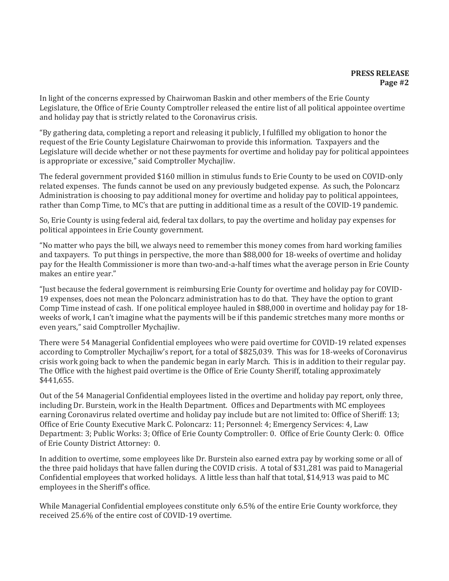In light of the concerns expressed by Chairwoman Baskin and other members of the Erie County Legislature, the Office of Erie County Comptroller released the entire list of all political appointee overtime and holiday pay that is strictly related to the Coronavirus crisis.

"By gathering data, completing a report and releasing it publicly, I fulfilled my obligation to honor the request of the Erie County Legislature Chairwoman to provide this information. Taxpayers and the Legislature will decide whether or not these payments for overtime and holiday pay for political appointees is appropriate or excessive," said Comptroller Mychajliw.

The federal government provided \$160 million in stimulus funds to Erie County to be used on COVID-only related expenses. The funds cannot be used on any previously budgeted expense. As such, the Poloncarz Administration is choosing to pay additional money for overtime and holiday pay to political appointees, rather than Comp Time, to MC's that are putting in additional time as a result of the COVID-19 pandemic.

So, Erie County is using federal aid, federal tax dollars, to pay the overtime and holiday pay expenses for political appointees in Erie County government.

"No matter who pays the bill, we always need to remember this money comes from hard working families and taxpayers. To put things in perspective, the more than \$88,000 for 18-weeks of overtime and holiday pay for the Health Commissioner is more than two-and-a-half times what the average person in Erie County makes an entire year."

"Just because the federal government is reimbursing Erie County for overtime and holiday pay for COVID-19 expenses, does not mean the Poloncarz administration has to do that. They have the option to grant Comp Time instead of cash. If one political employee hauled in \$88,000 in overtime and holiday pay for 18 weeks of work, I can't imagine what the payments will be if this pandemic stretches many more months or even years," said Comptroller Mychajliw.

There were 54 Managerial Confidential employees who were paid overtime for COVID-19 related expenses according to Comptroller Mychajliw's report, for a total of \$825,039. This was for 18-weeks of Coronavirus crisis work going back to when the pandemic began in early March. This is in addition to their regular pay. The Office with the highest paid overtime is the Office of Erie County Sheriff, totaling approximately \$441,655.

Out of the 54 Managerial Confidential employees listed in the overtime and holiday pay report, only three, including Dr. Burstein, work in the Health Department. Offices and Departments with MC employees earning Coronavirus related overtime and holiday pay include but are not limited to: Office of Sheriff: 13; Office of Erie County Executive Mark C. Poloncarz: 11; Personnel: 4; Emergency Services: 4, Law Department: 3; Public Works: 3; Office of Erie County Comptroller: 0. Office of Erie County Clerk: 0. Office of Erie County District Attorney: 0.

In addition to overtime, some employees like Dr. Burstein also earned extra pay by working some or all of the three paid holidays that have fallen during the COVID crisis. A total of \$31,281 was paid to Managerial Confidential employees that worked holidays. A little less than half that total, \$14,913 was paid to MC employees in the Sheriff's office.

While Managerial Confidential employees constitute only 6.5% of the entire Erie County workforce, they received 25.6% of the entire cost of COVID-19 overtime.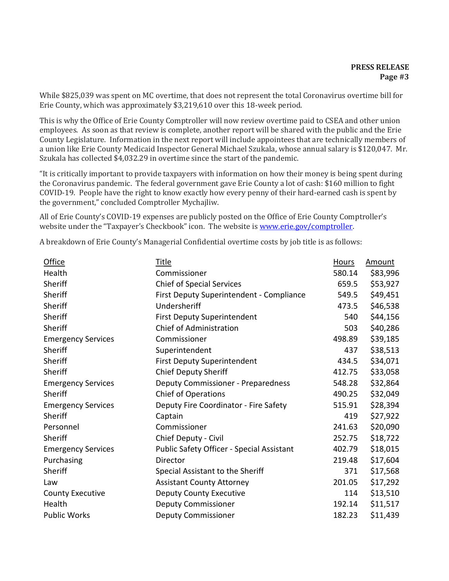While \$825,039 was spent on MC overtime, that does not represent the total Coronavirus overtime bill for Erie County, which was approximately \$3,219,610 over this 18-week period.

This is why the Office of Erie County Comptroller will now review overtime paid to CSEA and other union employees. As soon as that review is complete, another report will be shared with the public and the Erie County Legislature. Information in the next report will include appointees that are technically members of a union like Erie County Medicaid Inspector General Michael Szukala, whose annual salary is \$120,047. Mr. Szukala has collected \$4,032.29 in overtime since the start of the pandemic.

"It is critically important to provide taxpayers with information on how their money is being spent during the Coronavirus pandemic. The federal government gave Erie County a lot of cash: \$160 million to fight COVID-19. People have the right to know exactly how every penny of their hard-earned cash is spent by the government," concluded Comptroller Mychajliw.

All of Erie County's COVID-19 expenses are publicly posted on the Office of Erie County Comptroller's website under the "Taxpayer's Checkbook" icon. The website is [www.erie.gov/comptroller.](http://www.erie.gov/comptroller)

A breakdown of Erie County's Managerial Confidential overtime costs by job title is as follows:

| <b>Office</b>             | <b>Title</b>                              | <u>Hours</u> | Amount   |
|---------------------------|-------------------------------------------|--------------|----------|
| Health                    | Commissioner                              | 580.14       | \$83,996 |
| Sheriff                   | <b>Chief of Special Services</b>          | 659.5        | \$53,927 |
| Sheriff                   | First Deputy Superintendent - Compliance  | 549.5        | \$49,451 |
| Sheriff                   | Undersheriff                              | 473.5        | \$46,538 |
| Sheriff                   | <b>First Deputy Superintendent</b>        | 540          | \$44,156 |
| Sheriff                   | Chief of Administration                   | 503          | \$40,286 |
| <b>Emergency Services</b> | Commissioner                              | 498.89       | \$39,185 |
| Sheriff                   | Superintendent                            | 437          | \$38,513 |
| Sheriff                   | <b>First Deputy Superintendent</b>        | 434.5        | \$34,071 |
| Sheriff                   | <b>Chief Deputy Sheriff</b>               | 412.75       | \$33,058 |
| <b>Emergency Services</b> | <b>Deputy Commissioner - Preparedness</b> | 548.28       | \$32,864 |
| Sheriff                   | <b>Chief of Operations</b>                | 490.25       | \$32,049 |
| <b>Emergency Services</b> | Deputy Fire Coordinator - Fire Safety     | 515.91       | \$28,394 |
| Sheriff                   | Captain                                   | 419          | \$27,922 |
| Personnel                 | Commissioner                              | 241.63       | \$20,090 |
| Sheriff                   | Chief Deputy - Civil                      | 252.75       | \$18,722 |
| <b>Emergency Services</b> | Public Safety Officer - Special Assistant | 402.79       | \$18,015 |
| Purchasing                | Director                                  | 219.48       | \$17,604 |
| Sheriff                   | Special Assistant to the Sheriff          | 371          | \$17,568 |
| Law                       | <b>Assistant County Attorney</b>          | 201.05       | \$17,292 |
| <b>County Executive</b>   | <b>Deputy County Executive</b>            | 114          | \$13,510 |
| Health                    | <b>Deputy Commissioner</b>                | 192.14       | \$11,517 |
| <b>Public Works</b>       | <b>Deputy Commissioner</b>                | 182.23       | \$11,439 |